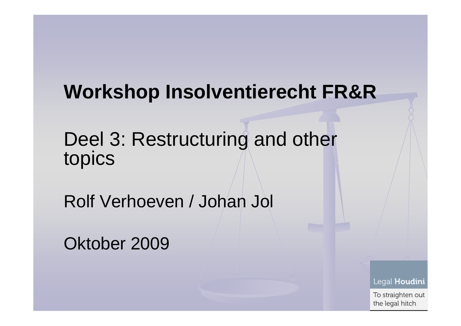### **Workshop Insolventierecht FR&R**

Deel 3: Restructuring and other topics

Rolf Verhoeven / Johan Jol

Oktober 2009

Legal Houdini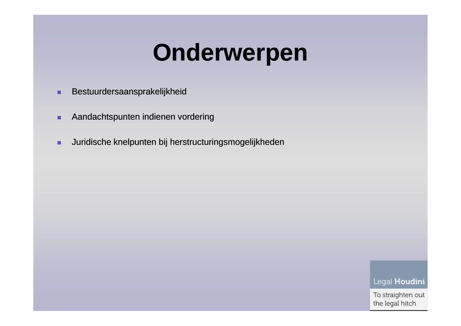### **Onderwerpen**

- ٠ Bestuurdersaansprakelijkheid
- ٠ **Aandachtspunten indienen vordering**
- $\blacksquare$ Juridische knelpunten bij herstructuringsmogelijkheden

Legal Houdini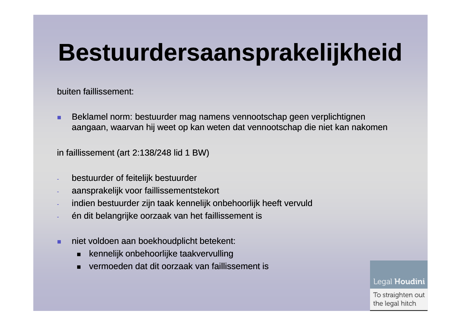## **Bestuurdersaansprakelijkheid**

buiten faillissement:

٠ Beklamel norm: bestuurder mag namens vennootschap geen verplichtignen aangaan, waarvan hij weet op kan weten dat vennootschap die niet kan nakomen

in faillissement (art 2:138/248 lid 1 BW)

- bestuurder of feitelijk bestuurder
- aansprakelijk voor faillissementstekort
- indien bestuurder zijn taak kennelijk onbehoorlijk heeft vervuld
- én dit belangrijke oorzaak van het faillissement is
- ٠ niet voldoen aan boekhoudplicht betekent:
	- п kennelijk onbehoorlijke taakvervulling
	- vermoeden dat dit oorzaak van faillissement is

Legal Houdini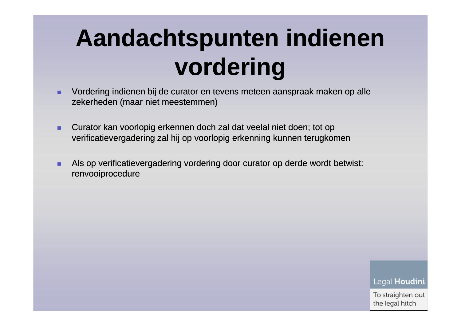# **Aandachtspunten indienen vordering**

- Vordering indienen bij de curator en tevens meteen aanspraak maken op alle ٠ zekerheden (maar niet meestemmen)
- ٠ Curator kan voorlopig erkennen doch zal dat veelal niet doen; tot op verificatievergadering zal hij op voorlopig erkenning kunnen terugkomen
- ٠ Als op verificatievergadering vordering door curator op derde wordt betwist: renvooiprocedure

Legal Houdini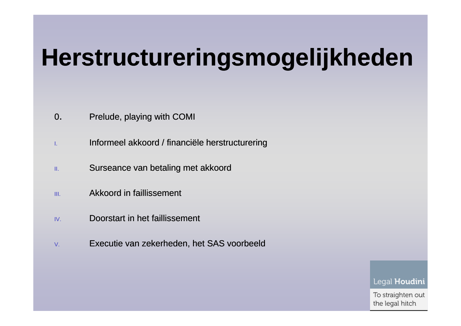# **Herstructureringsmogelijkheden**

- 0.. Prelude, playing with COMI
- I.Informeel akkoord / financiële herstructurering
- Surseance van betaling met akkoord II.
- III.**Akkoord in faillissement**
- IV.**Doorstart in het faillissement**
- V.Executie van zekerheden, het SAS voorbeeld

Legal Houdini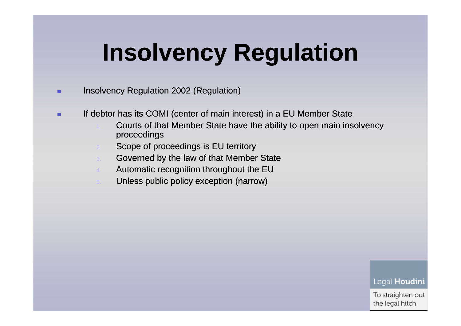# **Insolvency Regulation**

#### ٠ Insolvency Regulation 2002 (Regulation)

- ٠ If debtor has its COMI (center of main interest) in a EU Member State
	- Courts of that Member State have the ability to open main insolvency proceedings
	- **Scope of proceedings is EU territory**
	- **Governed by the law of that Member State**
	- 4.Automatic recognition throughout the EU
	- Unless public policy exception (narrow)

#### Legal Houdini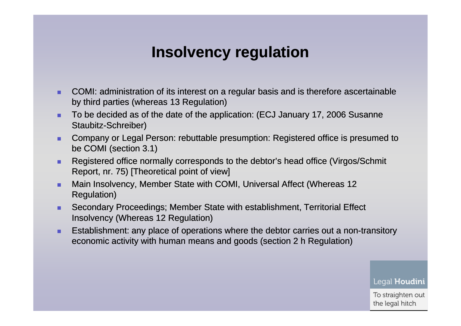#### **Insolvency regulation**

- ٠ COMI: administration of its interest on a regular basis and is therefore ascertainable by third parties (whereas 13 Regulation)
- ٠ To be decided as of the date of the application: (ECJ January 17, 2006 Susanne Staubitz-Schreiber)
- ٠ Company or Legal Person: rebuttable presumption: Registered office is presumed to be COMI (section 3.1)
- ٠ Registered office normally corresponds to the debtor's head office (Virgos/Schmit Report, nr. 75) [Theoretical point of view]
- ٠ Main Insolvency, Member State with COMI, Universal Affect (Whereas 12 Regulation)
- ٠ Secondary Proceedings; Member State with establishment, Territorial Effect Insolvency (Whereas 12 Regulation)
- ٠ **Establishment: any place of operations where the debtor carries out a non-transitory**  $\overline{\phantom{a}}$ economic activity with human means and goods (section 2 h Regulation)

Legal Houdini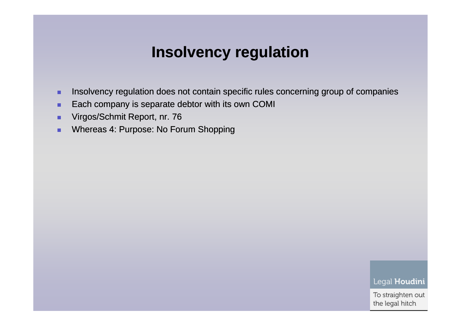#### **Insolvency regulation**

- ٠ Insolvency regulation does not contain specific rules concerning group of companies
- ٠ Each company is separate debtor with its own COMI
- ٠ Virgos/Schmit Report, nr. 76
- **Number 1: Purpose: No Forum Shopping** ٠

Legal Houdini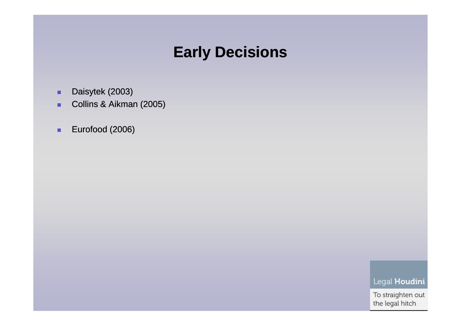#### **Early Decisions**

- ٠ Daisytek (2003)
- $\blacksquare$ Collins & Aikman (2005)
- $\blacksquare$ Eurofood (2006)

Legal Houdini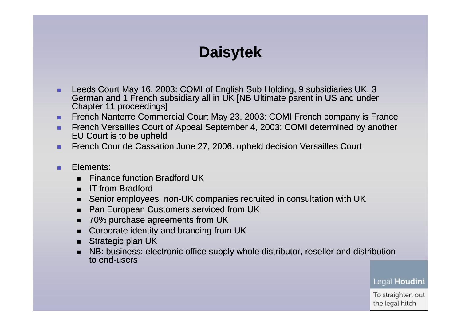### **Daisytek**

- ٠ Leeds Court May 16, 2003: COMI of English Sub Holding, 9 subsidiaries UK, 3 German and 1 French subsidiary all in UK [NB Ultimate parent in US and under Chapter 11 proceedings]
- ٠ French Nanterre Commercial Court May 23, 2003: COMI French company is France
- ٠ French Versailles Court of Appeal September 4, 2003: COMI determined by another EU Court is to be upheld
- French Cour de Cassation June 27, 2006: upheld decision Versailles Court ٠
- ٠ Elements:
	- $\blacksquare$ Finance function Bradford UK
	- $\blacksquare$ IT from Bradford
	- Senior employees non-UK companies recruited in consultation with UK  $\blacksquare$
	- $\blacksquare$ Pan European Customers serviced from UK
	- п 70% purchase agreements from UK
	- Corporate identity and branding from UK
	- $\blacksquare$ Strategic plan UK
	- NB: business: electronic office supply whole distributor, reseller and distribution to end-users

Legal Houdini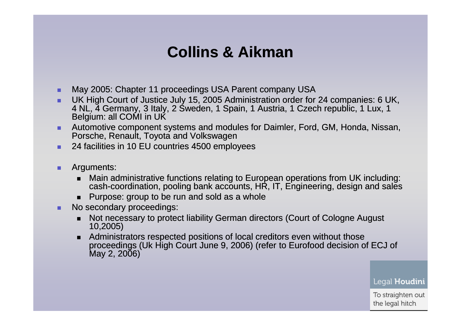### **Collins & Aikman**

- ٠ May 2005: Chapter 11 proceedings USA Parent company USA
- UK High Court of Justice July 15, 2005 Administration order for 24 companies: 6 UK, 4 NL, 4 Germany, 3 Italy, 2 Sweden, 1 Spain, 1 Austria, 1 Czech republic, 1 Lux, 1 Belgium: all COMI in UK
- **Automotive component systems and modules for Daimler, Ford, GM, Honda, Nissan, COM, Honda, Nissan,** ٠ Porsche, Renault, Toyota and Volkswagen
- 24 facilities in 10 EU countries 4500 employees ٠
- ٠ Arguments:
	- $\blacksquare$ ■ Main administrative functions relating to European operations from UK including:<br>
	accelerative including: nacling hardcaescupts URLE Fragineering decise and solar  ${\sf cash}{\sf coordinate}$  coordination, pooling bank accounts,  ${\sf HR}$ , IT,  ${\sf Engineering}$ , design and sales
	- Purpose: group to be run and sold as a whole
- ٠ No secondary proceedings:
	- $\blacksquare$  Not necessary to protect liability German directors (Court of Cologne August 10,2005)
	- $\blacksquare$  Administrators respected positions of local creditors even without those proceedings (Uk High Court June 9, 2006) (refer to Eurofood decision of ECJ of  $May 2, 2006)$

Legal Houdini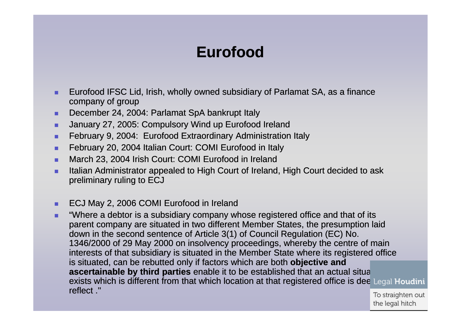### **Eurofood**

- Eurofood IFSC Lid, Irish, wholly owned subsidiary of Parlamat SA, as a finance company of group
- December 24, 2004: Parlamat SpA bankrupt Italy .
- **January 27, 2005: Compulsory Wind up Eurofood Ireland** .
- **February 9, 2004: Eurofood Extraordinary Administration Italy** .
- ٠ February 20, 2004 Italian Court: COMI Eurofood in Italy
- . March 23, 2004 Irish Court: COMI Eurofood in Ireland
- **Italian Administrator appealed to High Court of Ireland, High Court decided to ask** preliminary ruling to ECJ
- in<br>Lista ECJ May 2, 2006 COMI Eurofood in Ireland
- **The "Where a debtor is a subsidiary company whose registered office and that of its** . parent company are situated in two different Member States, the presumption laid down in the second sentence of Article 3(1) of Council Regulation (EC) No. 1346/2000 of 29 May 2000 on insolvency proceedings, whereby the centre of main interests of that subsidiary is situated in the Member State where its registered office is situated, can be rebutted only if factors which are both **objective and ascertainable by third parties** enable it to be established that an actual situation is the state of the state of the state of the state of the state of the state of the state of the state of the state of the state of the exists which is different from that which location at that registered office is dee Legal Houdini reflect .''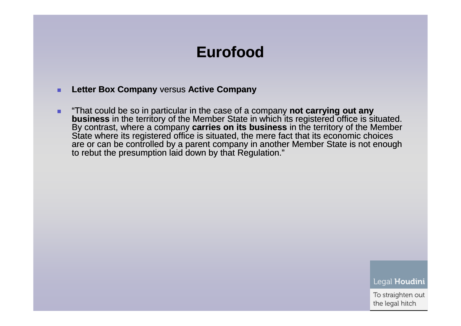#### **Eurofood**

- ٠ **Letter Box Company** versus **Active Company**
- ٠ ■ "That could be so in particular in the case of a company **not carrying out any business** in the territory of the Member State in which its registered office is situated. By contrast, where a company **carries on its business** in the territory of the Member State where its registered office is situated, the mere fact that its economic choices are or can be controlled by a parent company in another Member State is not enough<br>to rebut the presumption laid down by that Regulation."

Legal Houdini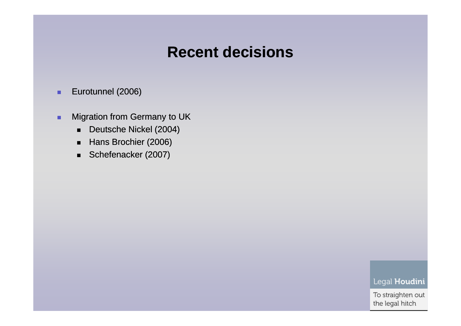#### **Recent decisions**

- ٠ Eurotunnel (2006)
- $\blacksquare$  Migration from Germany to UK
	- $\blacksquare$ Deutsche Nickel (2004)
	- $\blacksquare$ Hans Brochier (2006)
	- Schefenacker (2007)

Legal Houdini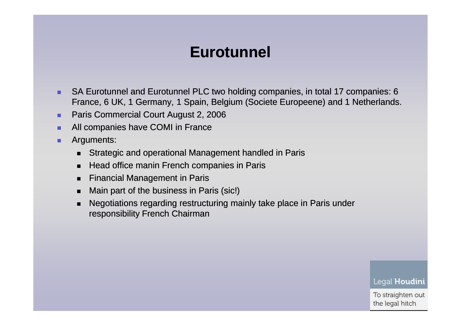#### **Eurotunnel**

- ٠ SA Eurotunnel and Eurotunnel PLC two holding companies, in total 17 companies: 6 France, 6 UK, 1 Germany, 1 Spain, Belgium (Societe Europeene) and 1 Netherlands.
- ٠ Paris Commercial Court August 2, 2006
- ٠ All companies have COMI in France
- ٠ Arguments:
	- $\blacksquare$ Strategic and operational Management handled in Paris
	- п Head office manin French companies in Paris
	- $\blacksquare$ Financial Management in Paris
	- $\blacksquare$ Main part of the business in Paris (sic!)
	- п Negotiations regarding restructuring mainly take place in Paris under responsibility French Chairman

Legal Houdini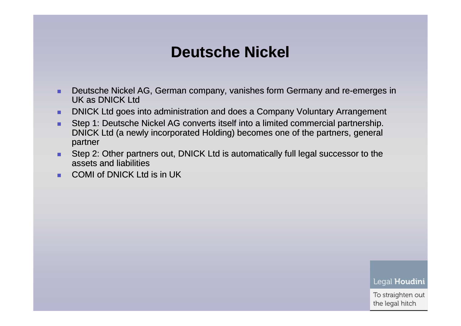#### **Deutsche Nickel**

- ٠ Deutsche Nickel AG, German company, vanishes form Germany and re-emerges in emerges UK as DNICK Ltd
- ٠ DNICK Ltd goes into administration and does a Company Voluntary Arrangement
- ٠ Step 1: Deutsche Nickel AG converts itself into a limited commercial partnership. DNICK Ltd (a newly incorporated Holding) becomes one of the partners, general partner
- Step 2: Other partners out, DNICK Ltd is automatically full legal successor to the assets and liabilities
- COMI of DNICK Ltd is in UK ٠

Legal Houdini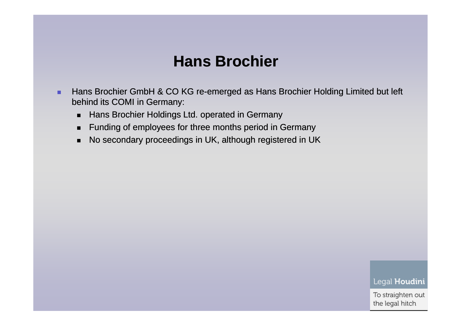#### **Hans Brochier**

- ٠ Hans Brochier GmbH & CO KG re-emerged as Hans Brochier Holding Limited but left behind its COMI in Germany:
	- $\blacksquare$ Hans Brochier Holdings Ltd. operated in Germany
	- $\blacksquare$ Funding of employees for three months period in Germany
	- No secondary proceedings in UK, although registered in UK  $\blacksquare$

Legal Houdini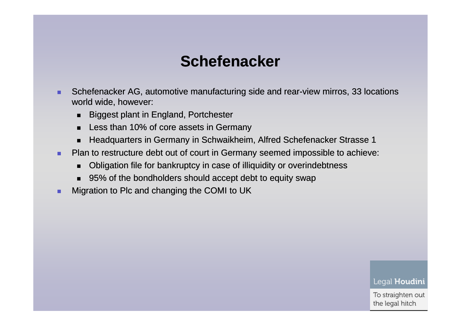#### **Schefenacker**

- ٠ Schefenacker AG, automotive manufacturing side and rear-view mirros, 33 locations world wide, however:
	- $\blacksquare$ Biggest plant in England, Portchester
	- $\blacksquare$ Less than 10% of core assets in Germany
	- $\blacksquare$ Headquarters in Germany in Schwaikheim, Alfred Schefenacker Strasse 1
- Plan to restructure debt out of court in Germany seemed impossible to achieve: ٠
	- $\blacksquare$ Obligation file for bankruptcy in case of illiquidity or overindebtness
	- 95% of the bondholders should accept debt to equity swap
- ٠ Migration to Plc and changing the COMI to UK

#### Legal Houdini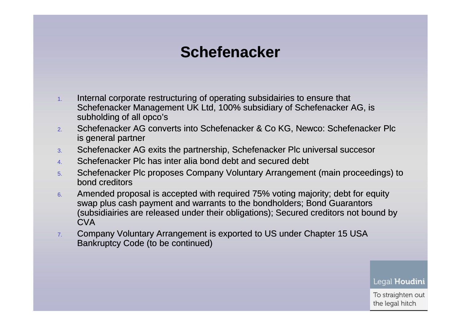### **Schefenacker**

- 1. Internal corporate restructuring of operating subsidairies to ensure that Schefenacker Management UK Ltd, 100% subsidiary of Schefenacker AG, is subholding of all opco's
- Schefenacker AG converts into Schefenacker & Co KG, Newco: Schefenacker Plc 2.is general partner
- 3.Schefenacker AG exits the partnership, Schefenacker Plc universal succesor
- 4.Schefenacker Plc has inter alia bond debt and secured debt
- 5. Schefenacker Plc proposes Company Voluntary Arrangement (main proceedings) to bond creditors
- 6. Amended proposal is accepted with required 75% voting majority; debt for equity swap plus cash payment and warrants to the bondholders; Bond Guarantors (subsidiairies are released under their obligations); Secured creditors not bound by **CVA**
- Company Voluntary Arrangement is exported to US under Chapter 15 USA 7.Bankruptcy Code (to be continued)

Legal Houdini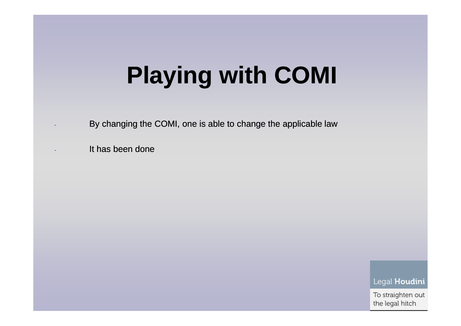# **Playing with COMI**

- By changing the COMI, one is able to change the applicable law
- It has been done

Legal Houdini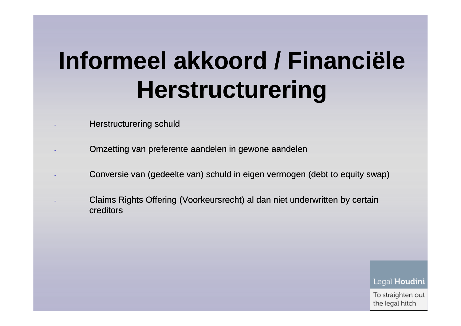# **Informeel akkoord / Financiële Herstructurering**

- Herstructurering schuld
- Omzetting van preferente aandelen in gewone aandelen
- 
- Conversie van (gedeelte van) schuld in eigen vermogen (debt to equity swap)<br>- Claims Rights Offering (Voorkeursrecht) al dan niet underwritten by certain<br>- creditors<br>- Claims Conversie van Diegal H<br>- creditors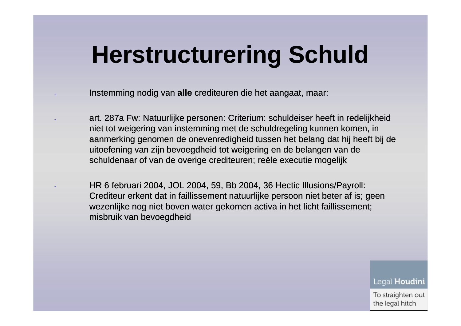- Instemming nodig van **alle** crediteuren die het aangaat, maar:
- art. 287a Fw: Natuurlijke personen: Criterium: schuldeiser heeft in redelijkheid<br>piet tet weigering van instemming met de schuldregeling kunnen kemen, in niet tot weigering van instemming met de schuldregeling kunnen komen, in aanmerking genomen de onevenredigheid tussen het belang dat hij heeft bij de uitoefening van zijn bevoegdheid tot weigering en de belangen van de schuldenaar of van de overige crediteuren; reële executie mogelijk
- $\text{HR } 6 \text{ februari } 2004, \text{ JOL } 2004, 59, \text{Bb } 2004, 36 \text{ Hectic Illusions/Payroll:}$ Crediteur erkent dat in faillissement natuurlijke persoon niet beter af is; geen wezenlijke nog niet boven water gekomen activa in het licht faillissement; misbruik van bevoegdheid

Legal Houdini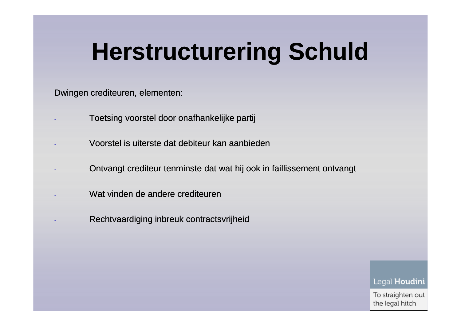Dwingen crediteuren, elementen:

- Toetsing voorstel door onafhankelijke partij
- Voorstel is uiterste dat debiteur kan aanbieden
- Ontvangt crediteur tenminste dat wat hij ook in faillissement ontvangt<br>Wat vinden de andere crediteuren<br>Rechtvaardiging inbreuk contractsvrijheid<br>Legal H<br>To straig
- 
-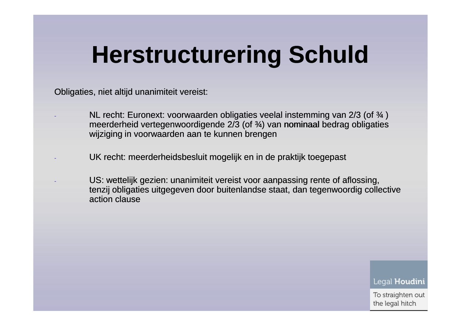Obligaties, niet altijd unanimiteit vereist:

- NL recht: Euronext: voorwaarden obligaties veelal instemming van 2/3 (of  $\frac{3}{4}$ ) meerderheid vertegenwoordigende 2/3 (of ¾) van nominaal bedrag obligaties wijziging in voorwaarden aan te kunnen brengen
- UK recht: meerderheidsbesluit mogelijk en in de praktijk toegepast
- US: wettelijk gezien: unanimiteit vereist voor aanpassing rente of aflossing,<br>tenzij obligaties uitgegeven door buitenlandse staat, dan tegenwoordig collective<br>action clause<br>action clause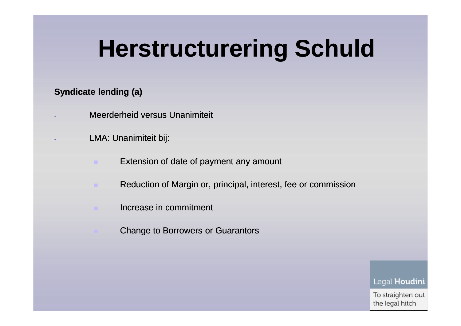#### **Syndicate lending (a)**

- Meerderheid versus Unanimiteit
- LMA: Unanimiteit bij:
	- Extension of date of payment any amount
	- Reduction of Margin or, principal, interest, fee or commission
	- Increase in commitment
		- Change to Borrowers or Guarantors

Legal Houdini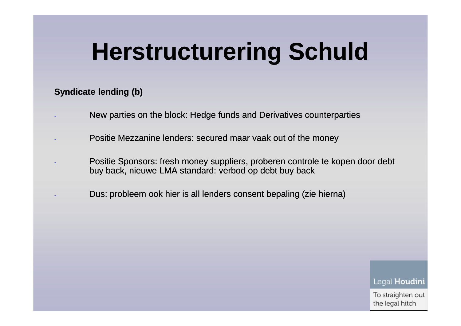#### **Syndicate lending (b)**

- New parties on the block: Hedge funds and Derivatives counterparties
- Positie Mezzanine lenders: secured maar vaak out of the money
- Positie Sponsors: fresh money suppliers, proberen controle te kopen door debt buy back, nieuwe LMA standard: verbod op debt buy back
- buy back, nieuwe LMA standard: verbod op debt buy back<br>- Dus: probleem ook hier is all lenders consent bepaling (zie hierna)<br>- Dus: probleem ook hier is all lenders consent bepaling (zie hierna)<br>- Legal H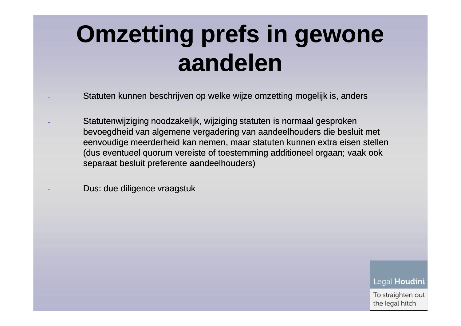# **Omzetting prefs in gewone aandelen**

- Statuten kunnen beschrijven op welke wijze omzetting mogelijk is, anders
- Statutenwijziging noodzakelijk, wijziging statuten is normaal gesproken bevoegdheid van algemene vergadering van aandeelhouders die besluit met eenvoudige meerderheid kan nemen, maar statuten kunnen extra eisen stellen (dus eventueel quorum vereiste of toestemming additioneel orgaan; vaak ook separaat besluit preferente aandeelhouders)

- Dus: due diligence vraagstuk $\log \frac{1}{100}$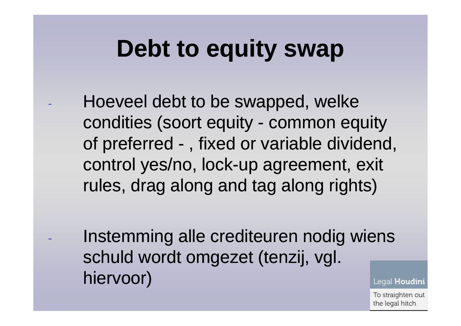### **Debt to equity swap**

Hoeveel debt to be swapped, welke condities (soort equity - common equityof preferred -, fixed or variable dividend, control yes/no, lock-up agreement, exit rules, drag along and tag along rights)

 Instemming alle crediteuren nodig wiens schuld wordt omgezet (tenzij, vgl. hiervoor)Legal **Houdini**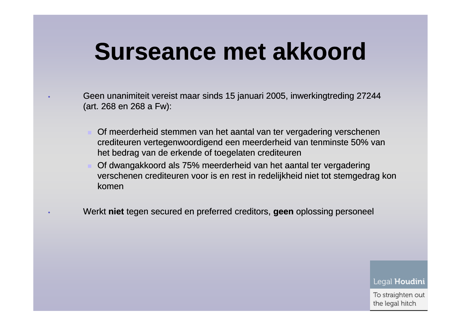### **Surseance met akkoord**

- Geen unanimiteit vereist maar sinds 15 januari 2005, inwerkingtreding 27244 (art. 268 en 268 a Fw):
	- Of meerderheid stemmen van het aantal van ter vergadering verschenen crediteuren vertegenwoordigend een meerderheid van tenminste 50% van het bedrag van de erkende of toegelaten crediteuren
	- Of dwangakkoord als 75% meerderheid van het aantal ter vergadering verschenen crediteuren voor is en rest in redelijkheid niet tot stemgedrag kon komen
- Werkt **niet** tegen secured en preferred creditors, **geen** oplossing personeel

Legal Houdini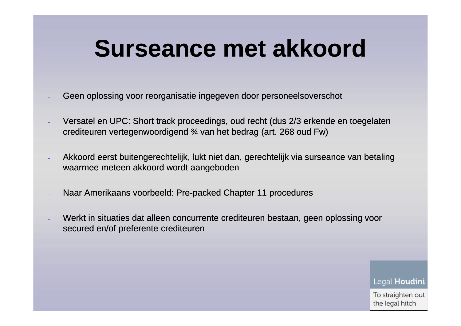### **Surseance met akkoord**

- Geen oplossing voor reorganisatie ingegeven door personeelsoverschot
- Versatel en UPC: Short track proceedings, oud recht (dus 2/3 erkende en toegelaten crediteuren vertegenwoordigend ¾ van het bedrag (art. 268 oud Fw)
- Akkoord eerst buitengerechtelijk, lukt niet dan, gerechtelijk via surseance van betaling waarmee meteen akkoord wordt aangeboden
- 
- Naar Amerikaans voorbeeld: Pre-packed Chapter 11 procedures<br>- Werkt in situaties dat alleen concurrente crediteuren bestaan, geen oplossing voor<br>- secured en/of preferente crediteuren<br>- secured en/of preferente crediteur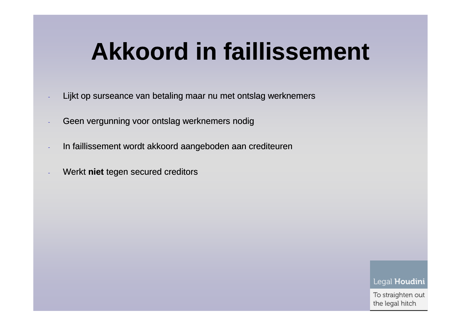## **Akkoord in faillissement**

- Lijkt op surseance van betaling maar nu met ontslag werknemers
- Geen vergunning voor ontslag werknemers nodig
- In faillissement wordt akkoord aangeboden aan crediteuren
- Werkt **niet** tegen secured creditors<br>- Werkt **niet**<br>- The secured creditors<br>- The secured creditors<br>- The secured creditors<br>- The secured creditors<br>- The secured creditors<br>- The secured creditors<br>- The secured creditors<br>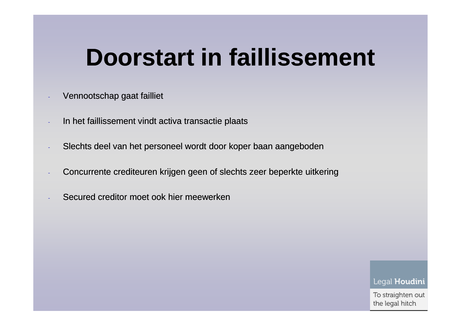### **Doorstart in faillissement**

- Vennootschap gaat failliet
- In het faillissement vindt activa transactie plaats
- Slechts deel van het personeel wordt door koper baan aangeboden
- Concurrente crediteuren krijgen geen of slechts zeer beperkte uitkering<br>- Secured creditor moet ook hier meewerken<br>- Secured creditor moet ook hier meewerken<br>- Legal H
-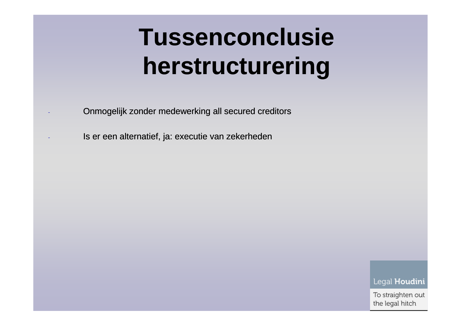# **Tussenconclusie herstructurering**

- Onmogelijk zonder medewerking all secured creditors
- Is er een alternatief, ja: executie van zekerheden

Legal Houdini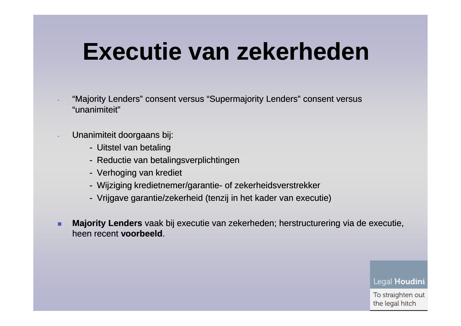### **Executie van zekerheden**

- "Majority Lenders" consent versus " Supermajority Lenders" consent versus "unanimiteit"
- Unanimiteit doorgaans bij:
	- Uitstel van betaling<br>- Reductie van betalir
	- Reductie van betalingsverplichtingen
	- Verhoging van krediet
	- Wijziging kredietnemer/garantie- of zekerheidsverstrekker
	- Vrijgave garantie/zekerheid (tenzij in het kader van executie)
- ٠ **Majority Lenders** vaak bij executie van zekerheden; herstructurering via de executie, heen recent **voorbeeld**.

Legal Houdini

∍..<br>il h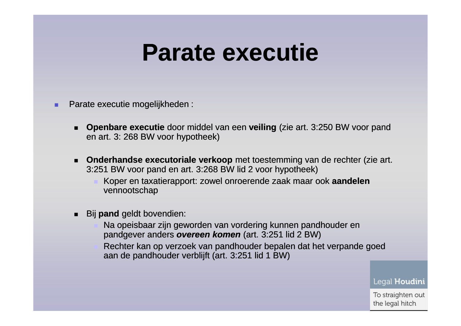### **Parate executie**

- Parate executie mogelijkheden :
	- **Openbare executie** door middel van een **veiling** (zie art. 3:250 BW voor pand en art. 3: 268 BW voor hypotheek)
	- **Onderhandse executoriale verkoop** met toestemming van de rechter (zie art. 3:251 BW voor pand en art. 3:268 BW lid 2 voor hypotheek)
		- Koper en taxatierapport: zowel onroerende zaak maar ook **aandelen**vennootschap
	- Bij **pand** geldt bovendien:
		- Na opeisbaar zijn geworden van vordering kunnen pandhouder en pandgever anders **overeen komen** (art. 3:251 lid 2 BW)
		- Rechter kan op verzoek van pandhouder bepalen dat het verpande goed aan de pandhouder verblijft (art. 3:251 lid 1 BW)

Legal Houdini